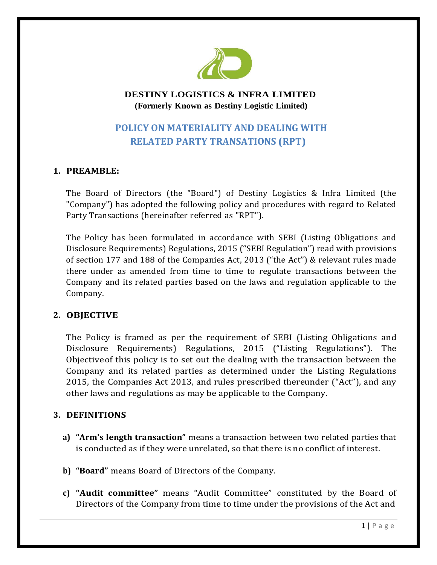

# **DESTINY LOGISTICS & INFRA LIMITED (Formerly Known as Destiny Logistic Limited)**

# **POLICY ON MATERIALITY AND DEALING WITH RELATED PARTY TRANSATIONS (RPT)**

# **1. PREAMBLE:**

The Board of Directors (the "Board") of Destiny Logistics & Infra Limited (the "Company") has adopted the following policy and procedures with regard to Related Party Transactions (hereinafter referred as "RPT").

The Policy has been formulated in accordance with SEBI (Listing Obligations and Disclosure Requirements) Regulations, 2015 ("SEBI Regulation") read with provisions of section 177 and 188 of the Companies Act, 2013 ("the Act") & relevant rules made there under as amended from time to time to regulate transactions between the Company and its related parties based on the laws and regulation applicable to the Company.

### **2. OBJECTIVE**

The Policy is framed as per the requirement of SEBI (Listing Obligations and Disclosure Requirements) Regulations, 2015 ("Listing Regulations"). The Objectiveof this policy is to set out the dealing with the transaction between the Company and its related parties as determined under the Listing Regulations 2015, the Companies Act 2013, and rules prescribed thereunder ("Act"), and any other laws and regulations as may be applicable to the Company.

### **3. DEFINITIONS**

- **a) "Arm's length transaction"** means a transaction between two related parties that is conducted as if they were unrelated, so that there is no conflict of interest.
- **b) "Board"** means Board of Directors of the Company.
- **c) "Audit committee"** means "Audit Committee" constituted by the Board of Directors of the Company from time to time under the provisions of the Act and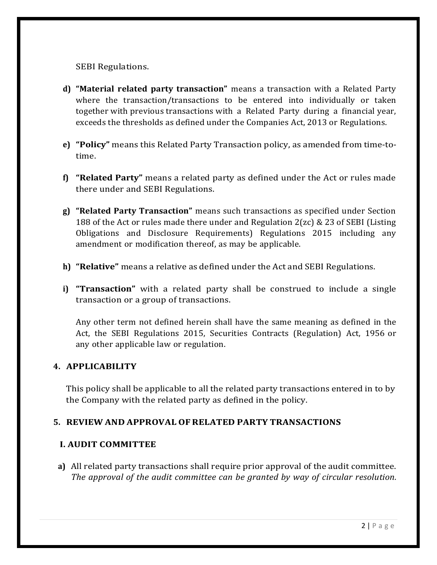SEBI Regulations.

- **d) "Material related party transaction"** means a transaction with a Related Party where the transaction/transactions to be entered into individually or taken together with previous transactions with a Related Party during a financial year, exceeds the thresholds as defined under the Companies Act, 2013 or Regulations.
- **e) "Policy"** means this Related Party Transaction policy, as amended from time-totime.
- **f) "Related Party"** means a related party as defined under the Act or rules made there under and SEBI Regulations.
- **g) "Related Party Transaction"** means such transactions as specified under Section 188 of the Act or rules made there under and Regulation 2(zc) & 23 of SEBI (Listing Obligations and Disclosure Requirements) Regulations 2015 including any amendment or modification thereof, as may be applicable.
- **h) "Relative"** means a relative as defined under the Act and SEBI Regulations.
- **i) "Transaction"** with a related party shall be construed to include a single transaction or a group of transactions.

Any other term not defined herein shall have the same meaning as defined in the Act, the SEBI Regulations 2015, Securities Contracts (Regulation) Act, 1956 or any other applicable law or regulation.

#### **4. APPLICABILITY**

This policy shall be applicable to all the related party transactions entered in to by the Company with the related party as defined in the policy.

### **5. REVIEW AND APPROVAL OFRELATED PARTY TRANSACTIONS**

#### **I. AUDIT COMMITTEE**

**a)** All related party transactions shall require prior approval of the audit committee. *The approval of the audit committee can be granted by way of circular resolution*.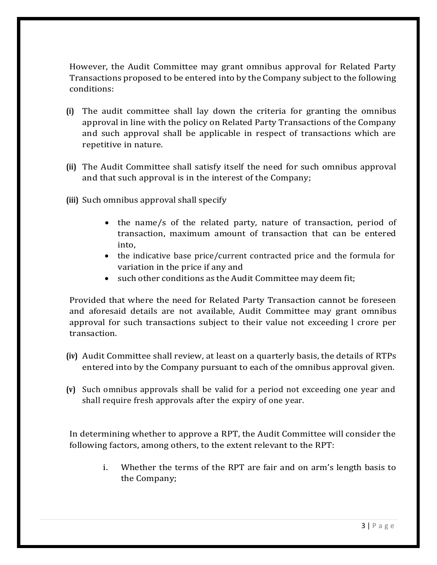However, the Audit Committee may grant omnibus approval for Related Party Transactions proposed to be entered into by the Company subject to the following conditions:

- **(i)** The audit committee shall lay down the criteria for granting the omnibus approval in line with the policy on Related Party Transactions of the Company and such approval shall be applicable in respect of transactions which are repetitive in nature.
- **(ii)** The Audit Committee shall satisfy itself the need for such omnibus approval and that such approval is in the interest of the Company;
- **(iii)** Such omnibus approval shall specify
	- the name/s of the related party, nature of transaction, period of transaction, maximum amount of transaction that can be entered into,
	- the indicative base price/current contracted price and the formula for variation in the price if any and
	- such other conditions as the Audit Committee may deem fit;

Provided that where the need for Related Party Transaction cannot be foreseen and aforesaid details are not available, Audit Committee may grant omnibus approval for such transactions subject to their value not exceeding l crore per transaction.

- **(iv)** Audit Committee shall review, at least on a quarterly basis, the details of RTPs entered into by the Company pursuant to each of the omnibus approval given.
- **(v)** Such omnibus approvals shall be valid for a period not exceeding one year and shall require fresh approvals after the expiry of one year.

In determining whether to approve a RPT, the Audit Committee will consider the following factors, among others, to the extent relevant to the RPT:

> i. Whether the terms of the RPT are fair and on arm's length basis to the Company;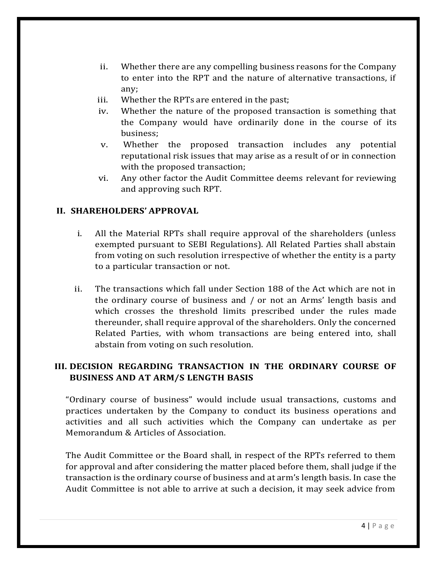- ii. Whether there are any compelling business reasons for the Company to enter into the RPT and the nature of alternative transactions, if any;
- iii. Whether the RPTs are entered in the past;
- iv. Whether the nature of the proposed transaction is something that the Company would have ordinarily done in the course of its business;
- v. Whether the proposed transaction includes any potential reputational risk issues that may arise as a result of or in connection with the proposed transaction;
- vi. Any other factor the Audit Committee deems relevant for reviewing and approving such RPT.

### **II. SHAREHOLDERS' APPROVAL**

- i. All the Material RPTs shall require approval of the shareholders (unless exempted pursuant to SEBI Regulations). All Related Parties shall abstain from voting on such resolution irrespective of whether the entity is a party to a particular transaction or not.
- ii. The transactions which fall under Section 188 of the Act which are not in the ordinary course of business and / or not an Arms' length basis and which crosses the threshold limits prescribed under the rules made thereunder, shall require approval of the shareholders. Only the concerned Related Parties, with whom transactions are being entered into, shall abstain from voting on such resolution.

### **III. DECISION REGARDING TRANSACTION IN THE ORDINARY COURSE OF BUSINESS AND AT ARM/S LENGTH BASIS**

"Ordinary course of business" would include usual transactions, customs and practices undertaken by the Company to conduct its business operations and activities and all such activities which the Company can undertake as per Memorandum & Articles of Association.

The Audit Committee or the Board shall, in respect of the RPTs referred to them for approval and after considering the matter placed before them, shall judge if the transaction is the ordinary course of business and at arm's length basis. In case the Audit Committee is not able to arrive at such a decision, it may seek advice from